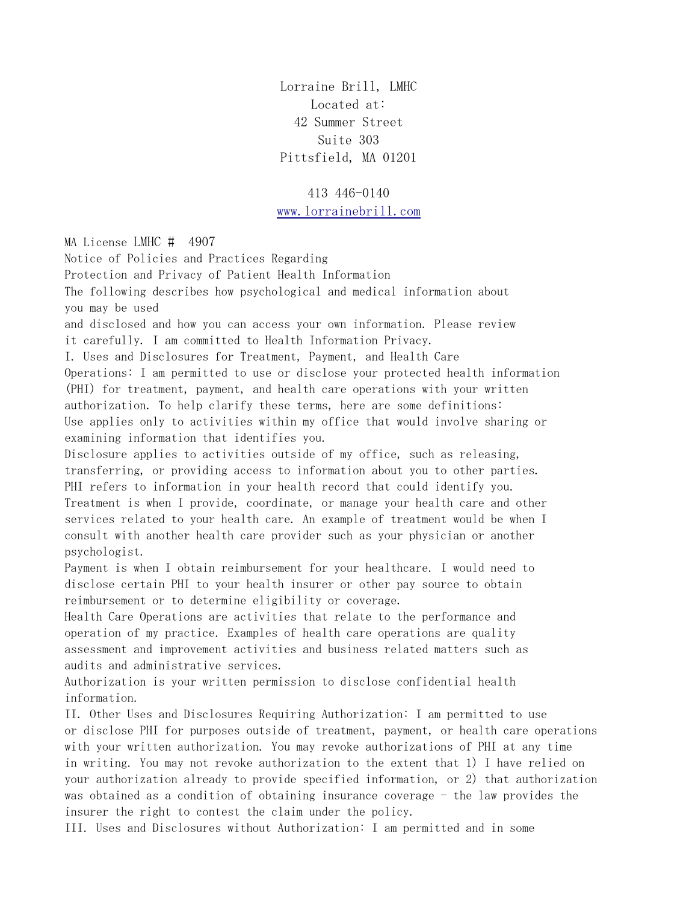Lorraine Brill, LMHC Located at: 42 Summer Street Suite 303 Pittsfield, MA 01201

413 446-0140 [www.lorrainebrill.com](http://www.lorrainebrill.com/)

MA License LMHC # 4907

Notice of Policies and Practices Regarding Protection and Privacy of Patient Health Information The following describes how psychological and medical information about you may be used and disclosed and how you can access your own information. Please review it carefully. I am committed to Health Information Privacy. I. Uses and Disclosures for Treatment, Payment, and Health Care Operations: I am permitted to use or disclose your protected health information (PHI) for treatment, payment, and health care operations with your written authorization. To help clarify these terms, here are some definitions: Use applies only to activities within my office that would involve sharing or examining information that identifies you. Disclosure applies to activities outside of my office, such as releasing, transferring, or providing access to information about you to other parties. PHI refers to information in your health record that could identify you. Treatment is when I provide, coordinate, or manage your health care and other services related to your health care. An example of treatment would be when I consult with another health care provider such as your physician or another psychologist. Payment is when I obtain reimbursement for your healthcare. I would need to disclose certain PHI to your health insurer or other pay source to obtain reimbursement or to determine eligibility or coverage. Health Care Operations are activities that relate to the performance and operation of my practice. Examples of health care operations are quality assessment and improvement activities and business related matters such as audits and administrative services. Authorization is your written permission to disclose confidential health information. II. Other Uses and Disclosures Requiring Authorization: I am permitted to use or disclose PHI for purposes outside of treatment, payment, or health care operations with your written authorization. You may revoke authorizations of PHI at any time in writing. You may not revoke authorization to the extent that 1) I have relied on your authorization already to provide specified information, or 2) that authorization was obtained as a condition of obtaining insurance coverage - the law provides the insurer the right to contest the claim under the policy. III. Uses and Disclosures without Authorization: I am permitted and in some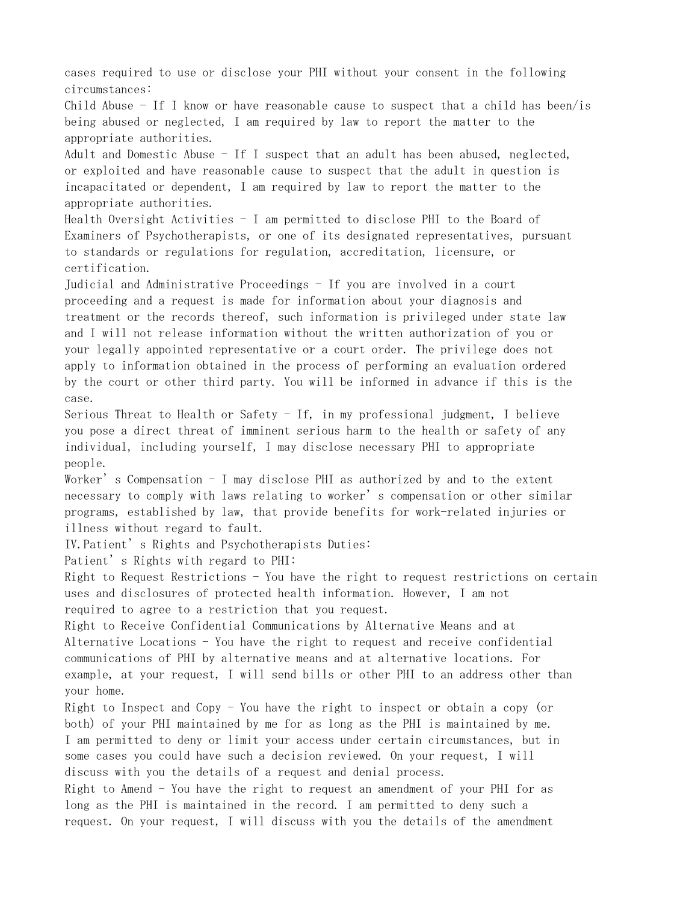cases required to use or disclose your PHI without your consent in the following circumstances: Child Abuse  $-$  If I know or have reasonable cause to suspect that a child has been/is being abused or neglected, I am required by law to report the matter to the appropriate authorities. Adult and Domestic Abuse  $-$  If I suspect that an adult has been abused, neglected, or exploited and have reasonable cause to suspect that the adult in question is incapacitated or dependent, I am required by law to report the matter to the appropriate authorities. Health Oversight Activities  $-$  I am permitted to disclose PHI to the Board of Examiners of Psychotherapists, or one of its designated representatives, pursuant to standards or regulations for regulation, accreditation, licensure, or certification. Judicial and Administrative Proceedings - If you are involved in a court proceeding and a request is made for information about your diagnosis and treatment or the records thereof, such information is privileged under state law and I will not release information without the written authorization of you or your legally appointed representative or a court order. The privilege does not apply to information obtained in the process of performing an evaluation ordered by the court or other third party. You will be informed in advance if this is the case. Serious Threat to Health or Safety - If, in my professional judgment, I believe you pose a direct threat of imminent serious harm to the health or safety of any individual, including yourself, I may disclose necessary PHI to appropriate people. Worker's Compensation - I may disclose PHI as authorized by and to the extent necessary to comply with laws relating to worker's compensation or other similar programs, established by law, that provide benefits for work-related injuries or illness without regard to fault. IV. Patient's Rights and Psychotherapists Duties: Patient's Rights with regard to PHI: Right to Request Restrictions - You have the right to request restrictions on certain uses and disclosures of protected health information. However, I am not required to agree to a restriction that you request. Right to Receive Confidential Communications by Alternative Means and at Alternative Locations - You have the right to request and receive confidential communications of PHI by alternative means and at alternative locations. For example, at your request, I will send bills or other PHI to an address other than your home. Right to Inspect and Copy - You have the right to inspect or obtain a copy (or both) of your PHI maintained by me for as long as the PHI is maintained by me. I am permitted to deny or limit your access under certain circumstances, but in some cases you could have such a decision reviewed. On your request, I will discuss with you the details of a request and denial process. Right to Amend - You have the right to request an amendment of your PHI for as long as the PHI is maintained in the record. I am permitted to deny such a

request. On your request, I will discuss with you the details of the amendment